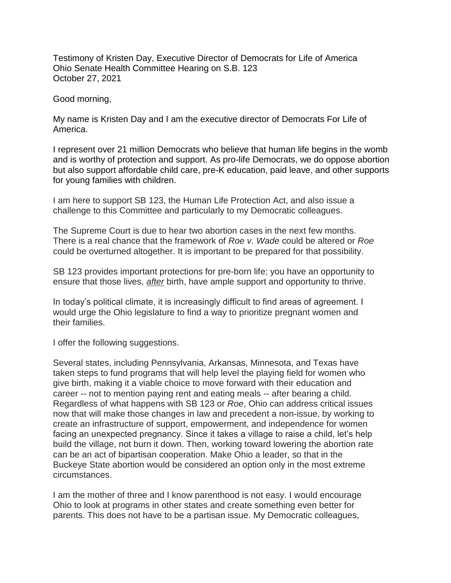Testimony of Kristen Day, Executive Director of Democrats for Life of America Ohio Senate Health Committee Hearing on S.B. 123 October 27, 2021

Good morning,

My name is Kristen Day and I am the executive director of Democrats For Life of America.

I represent over 21 million Democrats who believe that human life begins in the womb and is worthy of protection and support. As pro-life Democrats, we do oppose abortion but also support affordable child care, pre-K education, paid leave, and other supports for young families with children.

I am here to support SB 123, the Human Life Protection Act, and also issue a challenge to this Committee and particularly to my Democratic colleagues.

The Supreme Court is due to hear two abortion cases in the next few months. There is a real chance that the framework of *Roe v. Wade* could be altered or *Roe* could be overturned altogether. It is important to be prepared for that possibility.

SB 123 provides important protections for pre-born life; you have an opportunity to ensure that those lives, *after* birth, have ample support and opportunity to thrive.

In today's political climate, it is increasingly difficult to find areas of agreement. I would urge the Ohio legislature to find a way to prioritize pregnant women and their families.

I offer the following suggestions.

Several states, including Pennsylvania, Arkansas, Minnesota, and Texas have taken steps to fund programs that will help level the playing field for women who give birth, making it a viable choice to move forward with their education and career -- not to mention paying rent and eating meals -- after bearing a child. Regardless of what happens with SB 123 or *Roe*, Ohio can address critical issues now that will make those changes in law and precedent a non-issue, by working to create an infrastructure of support, empowerment, and independence for women facing an unexpected pregnancy. Since it takes a village to raise a child, let's help build the village, not burn it down. Then, working toward lowering the abortion rate can be an act of bipartisan cooperation. Make Ohio a leader, so that in the Buckeye State abortion would be considered an option only in the most extreme circumstances.

I am the mother of three and I know parenthood is not easy. I would encourage Ohio to look at programs in other states and create something even better for parents. This does not have to be a partisan issue. My Democratic colleagues,